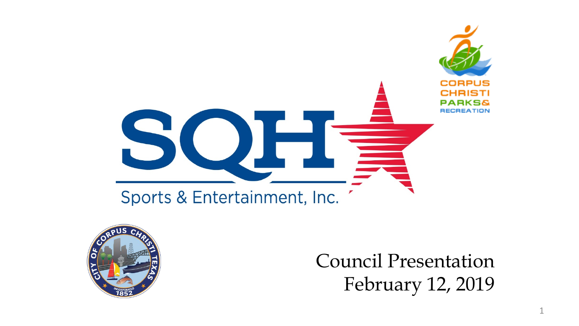



Council Presentation February 12, 2019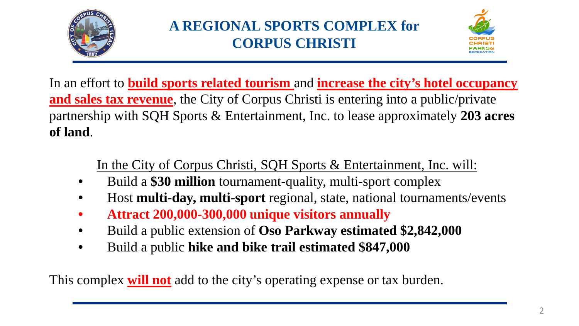

# **A REGIONAL SPORTS COMPLEX for CORPUS CHRISTI**



In an effort to **build sports related tourism** and **increase the city's hotel occupancy and sales tax revenue**, the City of Corpus Christi is entering into a public/private partnership with SQH Sports & Entertainment, Inc. to lease approximately **203 acres of land**.

In the City of Corpus Christi, SQH Sports & Entertainment, Inc. will:

- Build a **\$30 million** tournament-quality, multi-sport complex
- Host **multi-day, multi-sport** regional, state, national tournaments/events
- **Attract 200,000-300,000 unique visitors annually**
- Build a public extension of **Oso Parkway estimated \$2,842,000**
- Build a public **hike and bike trail estimated \$847,000**

This complex **will not** add to the city's operating expense or tax burden.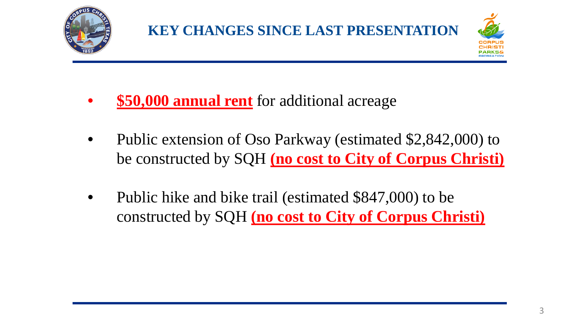

- **\$50,000 annual rent** for additional acreage
- Public extension of Oso Parkway (estimated \$2,842,000) to be constructed by SQH **(no cost to City of Corpus Christi)**
- Public hike and bike trail (estimated \$847,000) to be constructed by SQH **(no cost to City of Corpus Christi)**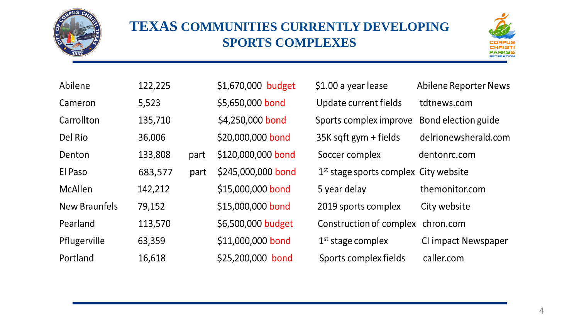

### **TEXAS COMMUNITIES CURRENTLY DEVELOPING SPORTS COMPLEXES**



| Abilene              | 122,225 |      | \$1,670,000 budget | \$1.00 a year lease                     | <b>Abilene Reporter News</b> |
|----------------------|---------|------|--------------------|-----------------------------------------|------------------------------|
| Cameron              | 5,523   |      | \$5,650,000 bond   | Update current fields                   | tdtnews.com                  |
| Carrollton           | 135,710 |      | \$4,250,000 bond   | Sports complex improve                  | Bond election guide          |
| Del Rio              | 36,006  |      | \$20,000,000 bond  | 35K sqft gym + fields                   | delrionewsherald.com         |
| Denton               | 133,808 | part | \$120,000,000 bond | Soccer complex                          | dentonrc.com                 |
| El Paso              | 683,577 | part | \$245,000,000 bond | $1st$ stage sports complex City website |                              |
| McAllen              | 142,212 |      | \$15,000,000 bond  | 5 year delay                            | themonitor.com               |
| <b>New Braunfels</b> | 79,152  |      | \$15,000,000 bond  | 2019 sports complex                     | City website                 |
| Pearland             | 113,570 |      | \$6,500,000 budget | Construction of complex                 | chron.com                    |
| Pflugerville         | 63,359  |      | \$11,000,000 bond  | $1st$ stage complex                     | CI impact Newspaper          |
| Portland             | 16,618  |      | \$25,200,000 bond  | Sports complex fields                   | caller.com                   |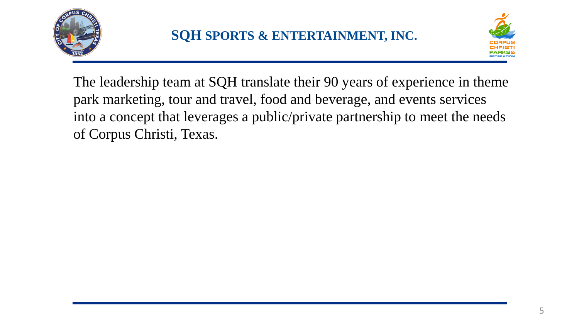



The leadership team at SQH translate their 90 years of experience in theme park marketing, tour and travel, food and beverage, and events services into a concept that leverages a public/private partnership to meet the needs of Corpus Christi, Texas.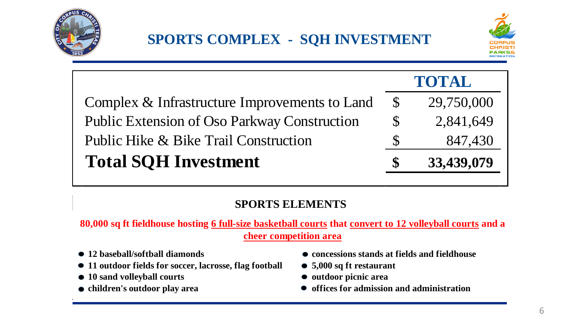



|                                               | <b>TOTAL</b> |            |  |
|-----------------------------------------------|--------------|------------|--|
| Complex & Infrastructure Improvements to Land | $\mathbb{S}$ | 29,750,000 |  |
| Public Extension of Oso Parkway Construction  | $\mathbb{S}$ | 2,841,649  |  |
| Public Hike & Bike Trail Construction         | S            | 847,430    |  |
| <b>Total SQH Investment</b>                   |              | 33,439,079 |  |

#### **SPORTS ELEMENTS**

**80,000 sq ft fieldhouse hosting 6 full-size basketball courts that convert to 12 volleyball courts and a cheer competition area**

- 
- **11 outdoor fields for soccer, lacrosse, flag football 5,000 sq ft restaurant**
- **•** 10 sand volleyball courts **•** outdoor picnic area
- 
- **12 baseball/softball diamonds concessions stands at fields and fieldhouse**
	-
	-
- children's outdoor play area **•** offices for admission and administration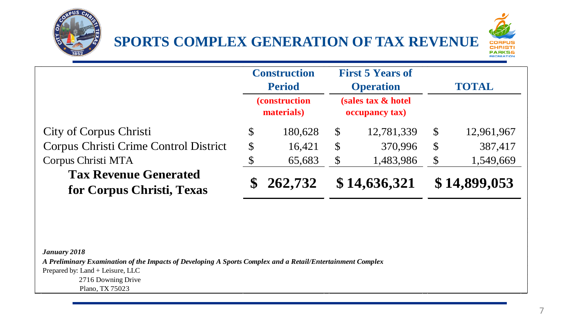





|                                                           | <b>Construction</b><br><b>Period</b> |                                     | <b>First 5 Years of</b><br><b>Operation</b> |              | <b>TOTAL</b> |            |
|-----------------------------------------------------------|--------------------------------------|-------------------------------------|---------------------------------------------|--------------|--------------|------------|
|                                                           |                                      | <i>(construction)</i><br>materials) | (sales tax & hotel<br>occupancy tax)        |              |              |            |
| City of Corpus Christi                                    | \$                                   | 180,628                             | $\mathbb{S}$                                | 12,781,339   | $\mathbb{S}$ | 12,961,967 |
| Corpus Christi Crime Control District                     | \$                                   | 16,421                              | $\mathbb{S}$                                | 370,996      | $\mathbb{S}$ | 387,417    |
| Corpus Christi MTA                                        | \$                                   | 65,683                              | $\boldsymbol{\mathsf{S}}$                   | 1,483,986    | \$           | 1,549,669  |
| <b>Tax Revenue Generated</b><br>for Corpus Christi, Texas |                                      | 262,732                             |                                             | \$14,636,321 | \$14,899,053 |            |

*January 2018*

*A Preliminary Examination of the Impacts of Developing A Sports Complex and a Retail/Entertainment Complex* Prepared by: Land + Leisure, LLC 2716 Downing Drive

Plano, TX 75023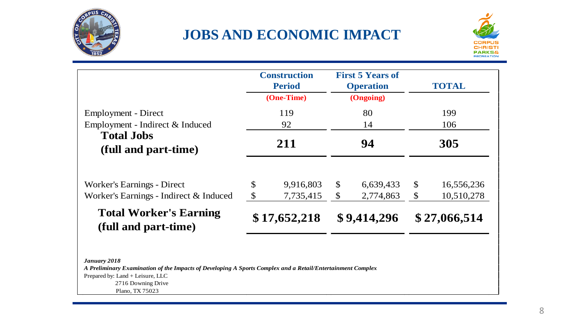

### **JOBS AND ECONOMIC IMPACT**



|                                                       | <b>Construction</b><br><b>Period</b><br>(One-Time)<br>119<br>92 |              | <b>First 5 Years of</b><br><b>Operation</b><br>(Ongoing)<br>80<br>14 |             | <b>TOTAL</b> |              |  |
|-------------------------------------------------------|-----------------------------------------------------------------|--------------|----------------------------------------------------------------------|-------------|--------------|--------------|--|
| Employment - Direct                                   |                                                                 |              |                                                                      |             | 199<br>106   |              |  |
| Employment - Indirect & Induced                       |                                                                 |              |                                                                      |             |              |              |  |
| <b>Total Jobs</b><br>(full and part-time)             |                                                                 | 211          |                                                                      | 94          |              | 305          |  |
| Worker's Earnings - Direct                            | \$                                                              | 9,916,803    | \$                                                                   | 6,639,433   | \$           | 16,556,236   |  |
| Worker's Earnings - Indirect & Induced                | $\mathbb{S}$                                                    | 7,735,415    | $\mathcal{S}$                                                        | 2,774,863   | \$           | 10,510,278   |  |
| <b>Total Worker's Earning</b><br>(full and part-time) |                                                                 | \$17,652,218 |                                                                      | \$9,414,296 |              | \$27,066,514 |  |

#### *January 2018*

*A Preliminary Examination of the Impacts of Developing A Sports Complex and a Retail/Entertainment Complex* Prepared by: Land + Leisure, LLC 2716 Downing Drive Plano, TX 75023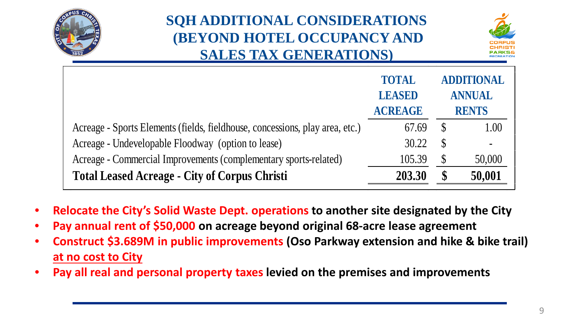

# **SQH ADDITIONAL CONSIDERATIONS (BEYOND HOTEL OCCUPANCY AND SALES TAX GENERATIONS)**



|                                                                              | <b>TOTAL</b><br><b>LEASED</b><br><b>ACREAGE</b> | <b>ADDITIONAL</b><br><b>ANNUAL</b><br><b>RENTS</b> |                          |
|------------------------------------------------------------------------------|-------------------------------------------------|----------------------------------------------------|--------------------------|
| Acreage - Sports Elements (fields, fieldhouse, concessions, play area, etc.) | 67.69                                           | $\mathcal{S}$                                      | 1.00                     |
| Acreage - Undevelopable Floodway (option to lease)                           | 30.22                                           | S                                                  | $\overline{\phantom{a}}$ |
| Acreage - Commercial Improvements (complementary sports-related)             | 105.39                                          | S                                                  | 50,000                   |
| <b>Total Leased Acreage - City of Corpus Christi</b>                         | 203.30                                          |                                                    | 50,001                   |

- **Relocate the City's Solid Waste Dept. operations to another site designated by the City**
- **Pay annual rent of \$50,000 on acreage beyond original 68-acre lease agreement**
- **Construct \$3.689M in public improvements (Oso Parkway extension and hike & bike trail) at no cost to City**
- **Pay all real and personal property taxes levied on the premises and improvements**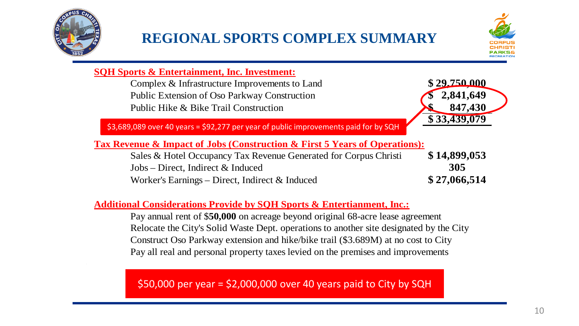

## **REGIONAL SPORTS COMPLEX SUMMARY**



#### **SQH Sports & Entertainment, Inc. Investment:**

Complex & Infrastructure Improvements to Land **\$ 29,750,000** Public Extension of Oso Parkway Construction **\$ 2,841,649** Public Hike & Bike Trail Construction **847,430** 



\$3,689,089 over 40 years = \$92,277 per year of public improvements paid for by SQH

#### **Tax Revenue & Impact of Jobs (Construction & First 5 Years of Operations):**

Sales & Hotel Occupancy Tax Revenue Generated for Corpus Christi **\$ 14,899,053** Jobs – Direct, Indirect & Induced **305** Worker's Earnings – Direct, Indirect & Induced **\$ 27,066,514**

#### **Additional Considerations Provide by SQH Sports & Entertianment, Inc.:**

Pay annual rent of \$**50,000** on acreage beyond original 68-acre lease agreement Relocate the City's Solid Waste Dept. operations to another site designated by the City Construct Oso Parkway extension and hike/bike trail (\$3.689M) at no cost to City Pay all real and personal property taxes levied on the premises and improvements

 $$50,000$  per year =  $$2,000,000$  over 40 years paid to City by SQH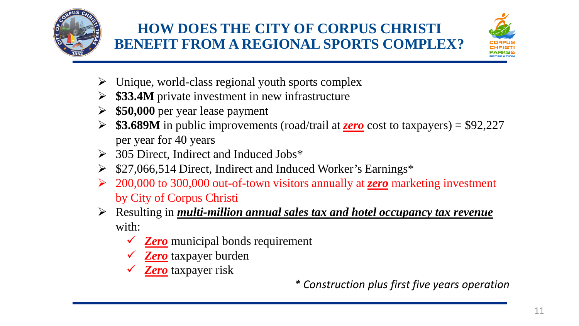



- $\triangleright$  Unique, world-class regional youth sports complex
- **\$33.4M** private investment in new infrastructure
- **\$50,000** per year lease payment
- **\$3.689M** in public improvements (road/trail at *zero* cost to taxpayers) = \$92,227 per year for 40 years
- $\geq$  305 Direct, Indirect and Induced Jobs\*
- $\geq$  \$27,066,514 Direct, Indirect and Induced Worker's Earnings\*
- 200,000 to 300,000 out-of-town visitors annually at *zero* marketing investment by City of Corpus Christi
- Resulting in *multi-million annual sales tax and hotel occupancy tax revenue* with:
	- **<del>∠</del> Zero** municipal bonds requirement
	- *Zero* taxpayer burden
	- *Zero* taxpayer risk

*\* Construction plus first five years operation*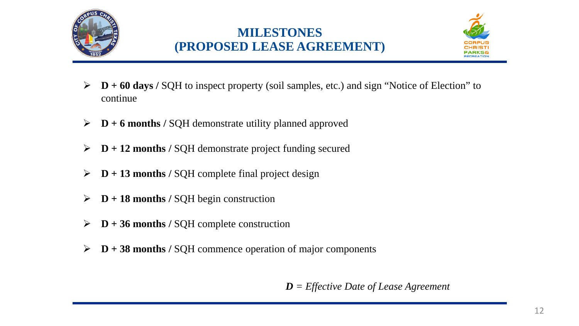

### **MILESTONES (PROPOSED LEASE AGREEMENT)**



- **D + 60 days /** SQH to inspect property (soil samples, etc.) and sign "Notice of Election" to continue
- **D + 6 months /** SQH demonstrate utility planned approved
- **D + 12 months /** SQH demonstrate project funding secured
- $\triangleright$  **D** + 13 months / SQH complete final project design
- $\triangleright$  **D** + 18 months / SQH begin construction
- $\triangleright$  **D** + 36 months / SQH complete construction
- **D + 38 months /** SQH commence operation of major components